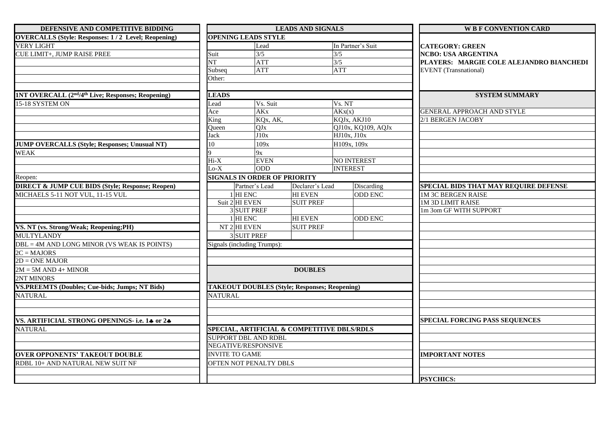| DEFENSIVE AND COMPETITIVE BIDDING                                          |                | <b>LEADS AND SIGNALS</b>                             |                  |                    | <b>W B F CONVENTION CARD</b>             |  |
|----------------------------------------------------------------------------|----------------|------------------------------------------------------|------------------|--------------------|------------------------------------------|--|
| <b>OVERCALLS (Style: Responses: 1/2 Level; Reopening)</b>                  |                | <b>OPENING LEADS STYLE</b>                           |                  |                    |                                          |  |
| <b>VERY LIGHT</b>                                                          |                | Lead                                                 |                  | In Partner's Suit  | <b>CATEGORY: GREEN</b>                   |  |
| CUE LIMIT+, JUMP RAISE PREE                                                | Suit           | 3/5                                                  | 3/5              |                    | <b>NCBO: USA ARGENTINA</b>               |  |
|                                                                            | NT             | <b>ATT</b>                                           | 3/5              |                    | PLAYERS: MARGIE COLE ALEJANDRO BIANCHEDI |  |
|                                                                            | Subseq         | <b>ATT</b>                                           |                  | <b>ATT</b>         | <b>EVENT</b> (Transnational)             |  |
|                                                                            | Other:         |                                                      |                  |                    |                                          |  |
| 1NT OVERCALL (2 <sup>nd</sup> /4 <sup>th</sup> Live; Responses; Reopening) | <b>LEADS</b>   |                                                      |                  |                    | <b>SYSTEM SUMMARY</b>                    |  |
| 15-18 SYSTEM ON                                                            | Lead           | Vs. Suit                                             |                  | Vs. NT             |                                          |  |
|                                                                            | Ace            | <b>AK<sub>x</sub></b>                                |                  | AKx(x)             | <b>GENERAL APPROACH AND STYLE</b>        |  |
|                                                                            | King           | KQx, AK,                                             |                  | KQJx, AKJ10        | 2/1 BERGEN JACOBY                        |  |
|                                                                            | Oueen          | QJx                                                  |                  | QJ10x, KQ109, AQJx |                                          |  |
|                                                                            | Jack           | J10x                                                 |                  | HJ10x, J10x        |                                          |  |
| JUMP OVERCALLS (Style; Responses; Unusual NT)                              | 10             | 109x                                                 |                  | H109x, 109x        |                                          |  |
| <b>WEAK</b>                                                                |                | 9x                                                   |                  |                    |                                          |  |
|                                                                            | $Hi-X$         | <b>EVEN</b>                                          |                  | NO INTEREST        |                                          |  |
|                                                                            | $Lo-X$         | ODD                                                  |                  | <b>INTEREST</b>    |                                          |  |
| Reopen:                                                                    |                | <b>SIGNALS IN ORDER OF PRIORITY</b>                  |                  |                    |                                          |  |
| <b>DIRECT &amp; JUMP CUE BIDS (Style; Response; Reopen)</b>                |                | Partner's Lead                                       | Declarer's Lead  | Discarding         | SPECIAL BIDS THAT MAY REQUIRE DEFENSE    |  |
| MICHAELS 5-11 NOT VUL, 11-15 VUL                                           | $1$ HI ENC     |                                                      | <b>HI EVEN</b>   | <b>ODD ENC</b>     | <b>1M 3C BERGEN RAISE</b>                |  |
|                                                                            |                | Suit 2 HI EVEN                                       | <b>SUIT PREF</b> |                    | <b>1M 3D LIMIT RAISE</b>                 |  |
|                                                                            |                | 3 SUIT PREF                                          |                  |                    | 1m 3om GF WITH SUPPORT                   |  |
|                                                                            |                | 1 HI ENC                                             | <b>HI EVEN</b>   | <b>ODD ENC</b>     |                                          |  |
| VS. NT (vs. Strong/Weak; Reopening;PH)                                     |                | $NT$ 2 HI EVEN                                       | <b>SUIT PREF</b> |                    |                                          |  |
| <b>MULTYLANDY</b>                                                          |                | 3 SUIT PREF                                          |                  |                    |                                          |  |
| DBL = 4M AND LONG MINOR (VS WEAK IS POINTS)                                |                | Signals (including Trumps):                          |                  |                    |                                          |  |
| $2C = MAJORS$                                                              |                |                                                      |                  |                    |                                          |  |
| $2D = ONE$ MAJOR                                                           |                |                                                      |                  |                    |                                          |  |
| $2M = 5M$ AND 4+ MINOR                                                     |                |                                                      | <b>DOUBLES</b>   |                    |                                          |  |
| 2NT MINORS                                                                 |                |                                                      |                  |                    |                                          |  |
| <b>VS.PREEMTS (Doubles; Cue-bids; Jumps; NT Bids)</b>                      |                | <b>TAKEOUT DOUBLES (Style; Responses; Reopening)</b> |                  |                    |                                          |  |
| <b>NATURAL</b>                                                             | <b>NATURAL</b> |                                                      |                  |                    |                                          |  |
|                                                                            |                |                                                      |                  |                    |                                          |  |
| VS. ARTIFICIAL STRONG OPENINGS- i.e. 14 or 24                              |                |                                                      |                  |                    | <b>SPECIAL FORCING PASS SEQUENCES</b>    |  |
| <b>NATURAL</b>                                                             |                | SPECIAL, ARTIFICIAL & COMPETITIVE DBLS/RDLS          |                  |                    |                                          |  |
|                                                                            |                | <b>SUPPORT DBL AND RDBL</b>                          |                  |                    |                                          |  |
|                                                                            |                | NEGATIVE/RESPONSIVE                                  |                  |                    |                                          |  |
| <b>OVER OPPONENTS' TAKEOUT DOUBLE</b>                                      |                | <b>INVITE TO GAME</b>                                |                  |                    | <b>IMPORTANT NOTES</b>                   |  |
| RDBL 10+ AND NATURAL NEW SUIT NF                                           |                | OFTEN NOT PENALTY DBLS                               |                  |                    |                                          |  |
|                                                                            |                |                                                      |                  |                    |                                          |  |
|                                                                            |                |                                                      |                  |                    | <b>PSYCHICS:</b>                         |  |